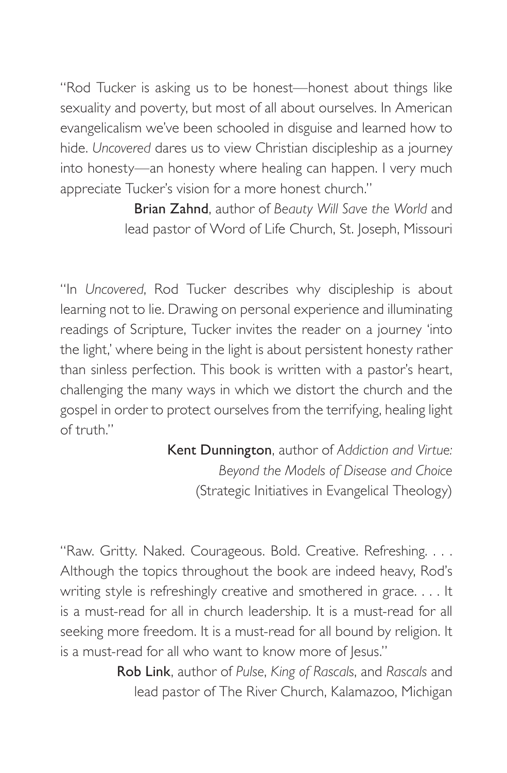"Rod Tucker is asking us to be honest—honest about things like sexuality and poverty, but most of all about ourselves. In American evangelicalism we've been schooled in disguise and learned how to hide. *Uncovered* dares us to view Christian discipleship as a journey into honesty—an honesty where healing can happen. I very much appreciate Tucker's vision for a more honest church."

> Brian Zahnd, author of *Beauty Will Save the World* and lead pastor of Word of Life Church, St. Joseph, Missouri

"In *Uncovered*, Rod Tucker describes why discipleship is about learning not to lie. Drawing on personal experience and illuminating readings of Scripture, Tucker invites the reader on a journey 'into the light,' where being in the light is about persistent honesty rather than sinless perfection. This book is written with a pastor's heart, challenging the many ways in which we distort the church and the gospel in order to protect ourselves from the terrifying, healing light of truth."

> Kent Dunnington, author of *Addiction and Virtue: Beyond the Models of Disease and Choice* (Strategic Initiatives in Evangelical Theology)

"Raw. Gritty. Naked. Courageous. Bold. Creative. Refreshing. . . . Although the topics throughout the book are indeed heavy, Rod's writing style is refreshingly creative and smothered in grace. . . . It is a must-read for all in church leadership. It is a must-read for all seeking more freedom. It is a must-read for all bound by religion. It is a must-read for all who want to know more of Jesus."

> Rob Link, author of *Pulse*, *King of Rascals*, and *Rascals* and lead pastor of The River Church, Kalamazoo, Michigan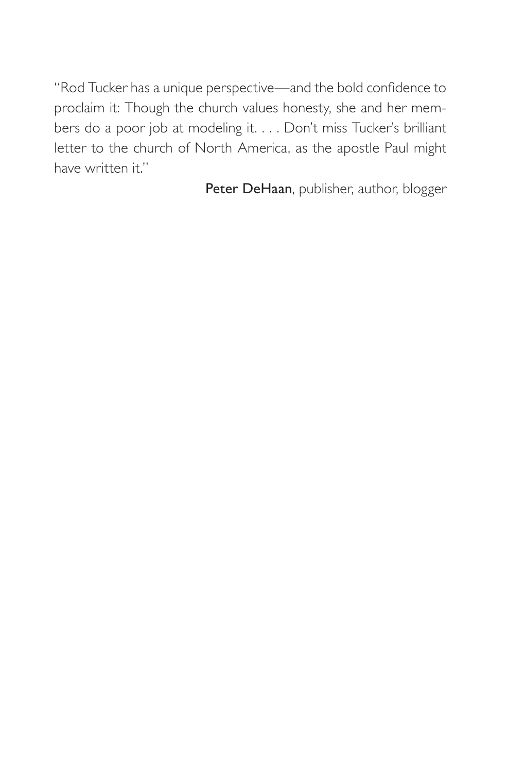"Rod Tucker has a unique perspective—and the bold confidence to proclaim it: Though the church values honesty, she and her members do a poor job at modeling it. . . . Don't miss Tucker's brilliant letter to the church of North America, as the apostle Paul might have written it."

Peter DeHaan, publisher, author, blogger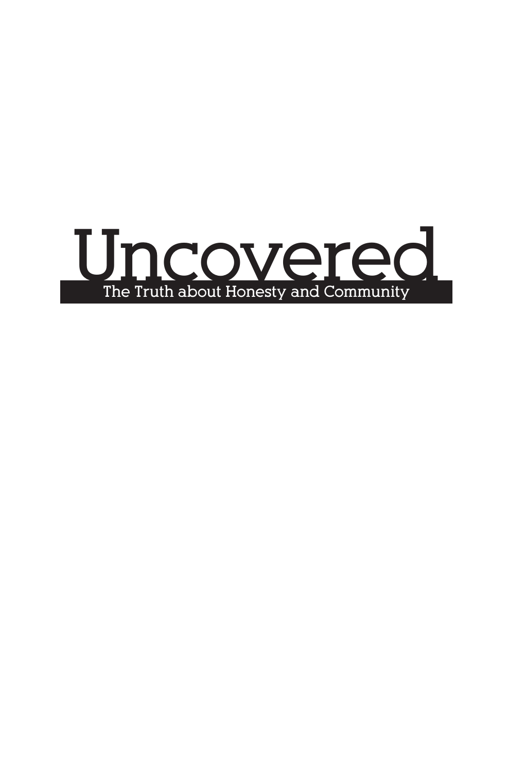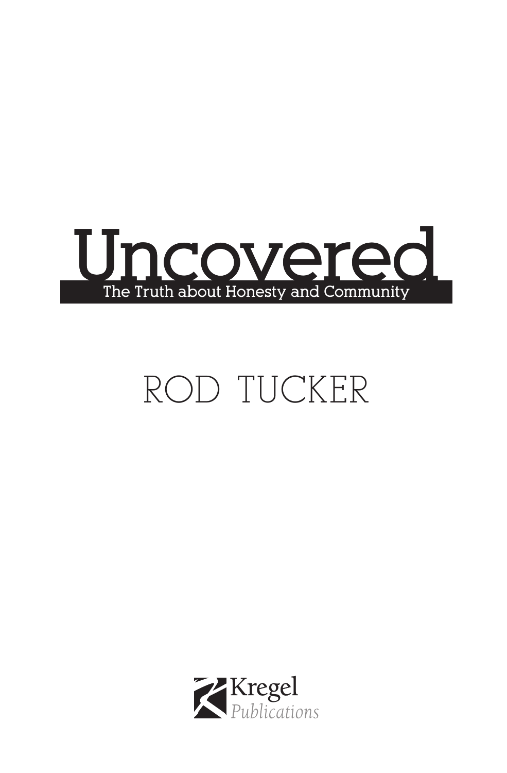

# ROD TUCKER

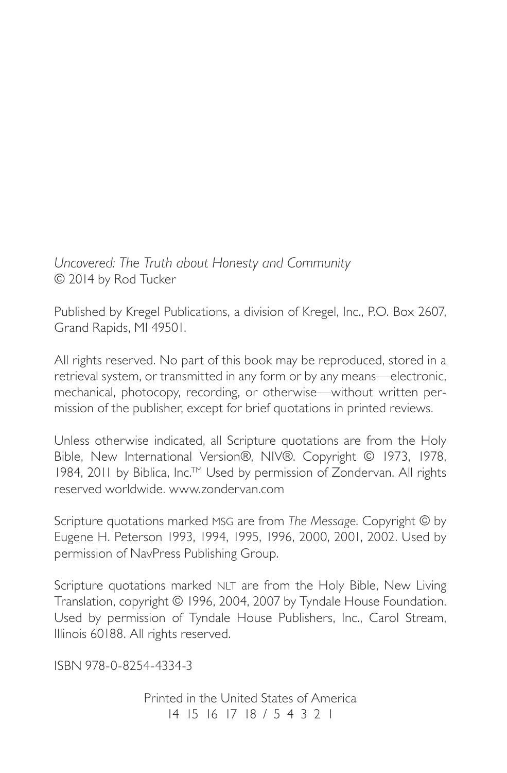*Uncovered: The Truth about Honesty and Community* © 2014 by Rod Tucker

Published by Kregel Publications, a division of Kregel, Inc., P.O. Box 2607, Grand Rapids, MI 49501.

All rights reserved. No part of this book may be reproduced, stored in a retrieval system, or transmitted in any form or by any means—electronic, mechanical, photocopy, recording, or otherwise—without written permission of the publisher, except for brief quotations in printed reviews.

Unless otherwise indicated, all Scripture quotations are from the Holy Bible, New International Version®, NIV®. Copyright © 1973, 1978, 1984, 2011 by Biblica, Inc.™ Used by permission of Zondervan. All rights reserved worldwide. www.zondervan.com

Scripture quotations marked msg are from *The Message*. Copyright © by Eugene H. Peterson 1993, 1994, 1995, 1996, 2000, 2001, 2002. Used by permission of NavPress Publishing Group.

Scripture quotations marked NLT are from the Holy Bible, New Living Translation, copyright © 1996, 2004, 2007 by Tyndale House Foundation. Used by permission of Tyndale House Publishers, Inc., Carol Stream, Illinois 60188. All rights reserved.

ISBN 978-0-8254-4334-3

Printed in the United States of America 14 15 16 17 18 / 5 4 3 2 1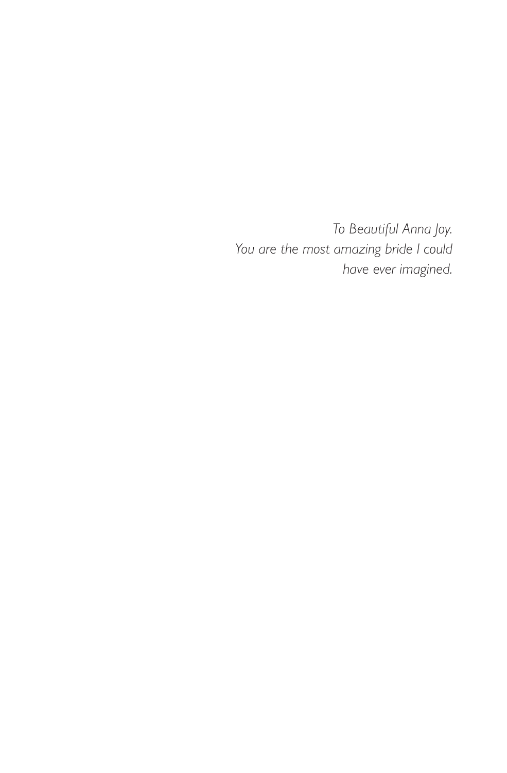*To Beautiful Anna Joy. You are the most amazing bride I could have ever imagined.*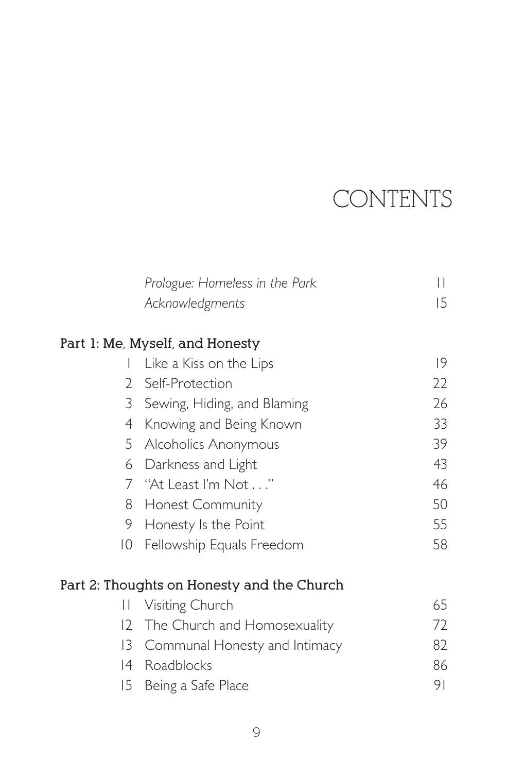## **CONTENTS**

|    | Prologue: Homeless in the Park             | Ш  |
|----|--------------------------------------------|----|
|    | Acknowledgments                            | 15 |
|    |                                            |    |
|    | Part 1: Me, Myself, and Honesty            |    |
|    | Like a Kiss on the Lips                    | 9  |
|    | 2 Self-Protection                          | 22 |
| 3  | Sewing, Hiding, and Blaming                | 26 |
| 4  | Knowing and Being Known                    | 33 |
| 5  | Alcoholics Anonymous                       | 39 |
|    | 6 Darkness and Light                       | 43 |
|    | 7 "At Least I'm Not"                       | 46 |
| 8  | Honest Community                           | 50 |
| 9  | Honesty Is the Point                       | 55 |
| 10 | Fellowship Equals Freedom                  | 58 |
|    | Part 2: Thoughts on Honesty and the Church |    |
| П  | Visiting Church                            | 65 |
| 12 | The Church and Homosexuality               | 72 |
| 13 | Communal Honesty and Intimacy              | 82 |
| 14 | Roadblocks                                 | 86 |
| 15 | Being a Safe Place                         | 91 |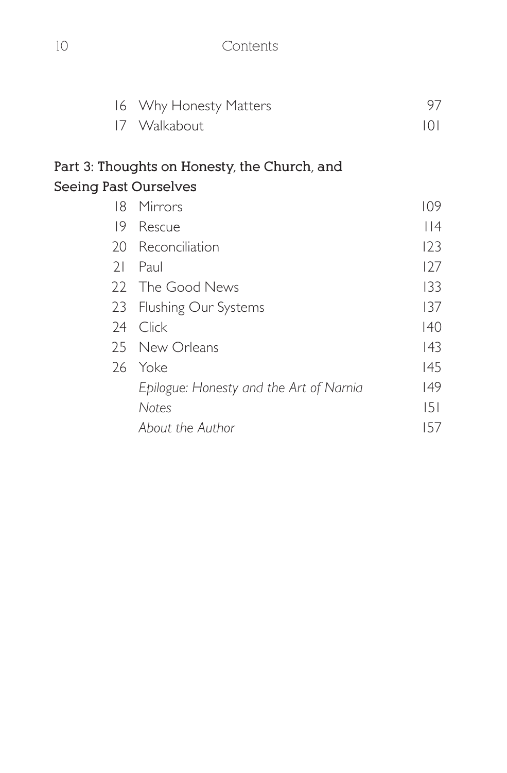10 Contents

|                       | 16 Why Honesty Matters                       | 97  |
|-----------------------|----------------------------------------------|-----|
| 17                    | Walkabout                                    | 101 |
|                       |                                              |     |
|                       | Part 3: Thoughts on Honesty, the Church, and |     |
| Seeing Past Ourselves |                                              |     |
| 18                    | Mirrors                                      | 109 |
| 19                    | Rescue                                       | 114 |
|                       | 20 Reconciliation                            | 123 |
| 21                    | Paul                                         | 127 |
|                       | 22 The Good News                             | 133 |
| 23                    | Flushing Our Systems                         | 137 |
| 24                    | Click                                        | 140 |
|                       | 25 New Orleans                               | 143 |
|                       | 26 Yoke                                      | 145 |
|                       | Epilogue: Honesty and the Art of Narnia      | 149 |
|                       | <b>Notes</b>                                 | 151 |
|                       | About the Author                             | 157 |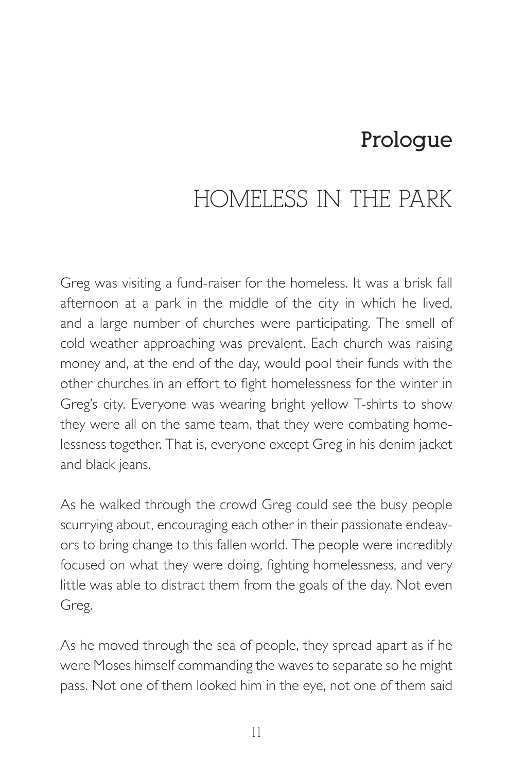#### **Prologue**

### HOMELESS IN THE PARK

Greg was visiting a fund-raiser for the homeless. It was a brisk fall afternoon at a park in the middle of the city in which he lived, and a large number of churches were participating. The smell of cold weather approaching was prevalent. Each church was raising money and, at the end of the day, would pool their funds with the other churches in an effort to fight homelessness for the winter in Greg's city. Everyone was wearing bright yellow T-shirts to show they were all on the same team, that they were combating homelessness together. That is, everyone except Greg in his denim jacket and black jeans.

As he walked through the crowd Greg could see the busy people scurrying about, encouraging each other in their passionate endeavors to bring change to this fallen world. The people were incredibly focused on what they were doing, fighting homelessness, and very little was able to distract them from the goals of the day. Not even Greg.

As he moved through the sea of people, they spread apart as if he were Moses himself commanding the waves to separate so he might pass. Not one of them looked him in the eye, not one of them said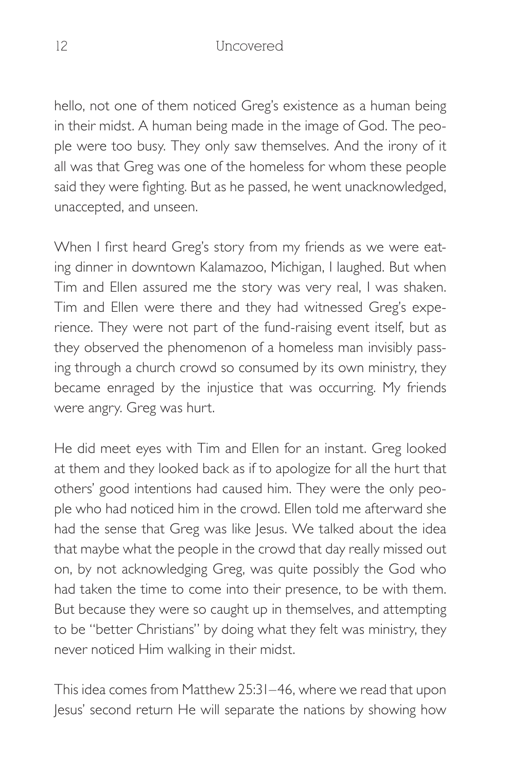12 Uncovered

hello, not one of them noticed Greg's existence as a human being in their midst. A human being made in the image of God. The people were too busy. They only saw themselves. And the irony of it all was that Greg was one of the homeless for whom these people said they were fighting. But as he passed, he went unacknowledged, unaccepted, and unseen.

When I first heard Greg's story from my friends as we were eating dinner in downtown Kalamazoo, Michigan, I laughed. But when Tim and Ellen assured me the story was very real, I was shaken. Tim and Ellen were there and they had witnessed Greg's experience. They were not part of the fund-raising event itself, but as they observed the phenomenon of a homeless man invisibly passing through a church crowd so consumed by its own ministry, they became enraged by the injustice that was occurring. My friends were angry. Greg was hurt.

He did meet eyes with Tim and Ellen for an instant. Greg looked at them and they looked back as if to apologize for all the hurt that others' good intentions had caused him. They were the only people who had noticed him in the crowd. Ellen told me afterward she had the sense that Greg was like Jesus. We talked about the idea that maybe what the people in the crowd that day really missed out on, by not acknowledging Greg, was quite possibly the God who had taken the time to come into their presence, to be with them. But because they were so caught up in themselves, and attempting to be "better Christians" by doing what they felt was ministry, they never noticed Him walking in their midst.

This idea comes from Matthew 25:31–46, where we read that upon Jesus' second return He will separate the nations by showing how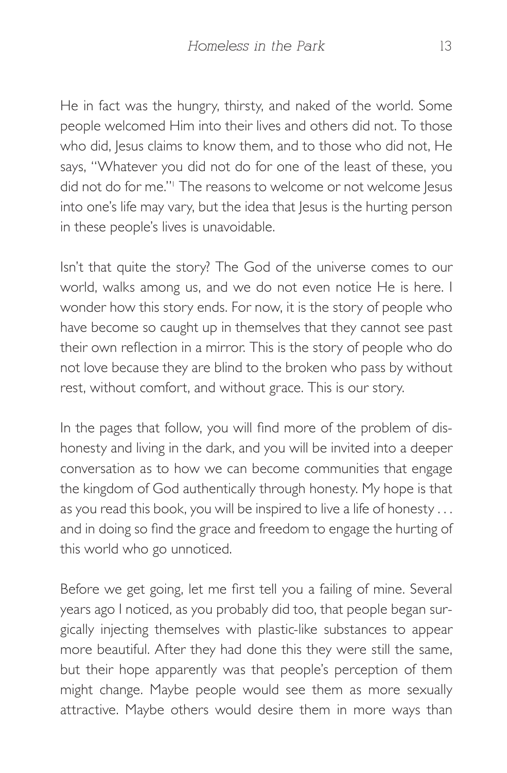He in fact was the hungry, thirsty, and naked of the world. Some people welcomed Him into their lives and others did not. To those who did, Jesus claims to know them, and to those who did not, He says, "Whatever you did not do for one of the least of these, you did not do for me."1 The reasons to welcome or not welcome Jesus into one's life may vary, but the idea that Jesus is the hurting person in these people's lives is unavoidable.

Isn't that quite the story? The God of the universe comes to our world, walks among us, and we do not even notice He is here. I wonder how this story ends. For now, it is the story of people who have become so caught up in themselves that they cannot see past their own reflection in a mirror. This is the story of people who do not love because they are blind to the broken who pass by without rest, without comfort, and without grace. This is our story.

In the pages that follow, you will find more of the problem of dishonesty and living in the dark, and you will be invited into a deeper conversation as to how we can become communities that engage the kingdom of God authentically through honesty. My hope is that as you read this book, you will be inspired to live a life of honesty . . . and in doing so find the grace and freedom to engage the hurting of this world who go unnoticed.

Before we get going, let me first tell you a failing of mine. Several years ago I noticed, as you probably did too, that people began surgically injecting themselves with plastic-like substances to appear more beautiful. After they had done this they were still the same, but their hope apparently was that people's perception of them might change. Maybe people would see them as more sexually attractive. Maybe others would desire them in more ways than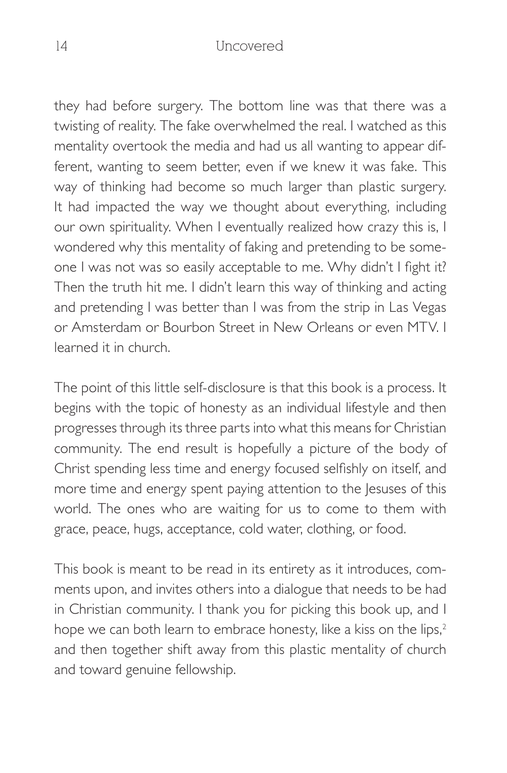they had before surgery. The bottom line was that there was a twisting of reality. The fake overwhelmed the real. I watched as this mentality overtook the media and had us all wanting to appear different, wanting to seem better, even if we knew it was fake. This way of thinking had become so much larger than plastic surgery. It had impacted the way we thought about everything, including our own spirituality. When I eventually realized how crazy this is, I wondered why this mentality of faking and pretending to be someone I was not was so easily acceptable to me. Why didn't I fight it? Then the truth hit me. I didn't learn this way of thinking and acting and pretending I was better than I was from the strip in Las Vegas or Amsterdam or Bourbon Street in New Orleans or even MTV. I learned it in church.

The point of this little self-disclosure is that this book is a process. It begins with the topic of honesty as an individual lifestyle and then progresses through its three parts into what this means for Christian community. The end result is hopefully a picture of the body of Christ spending less time and energy focused selfishly on itself, and more time and energy spent paying attention to the Jesuses of this world. The ones who are waiting for us to come to them with grace, peace, hugs, acceptance, cold water, clothing, or food.

This book is meant to be read in its entirety as it introduces, comments upon, and invites others into a dialogue that needs to be had in Christian community. I thank you for picking this book up, and I hope we can both learn to embrace honesty, like a kiss on the lips,<sup>2</sup> and then together shift away from this plastic mentality of church and toward genuine fellowship.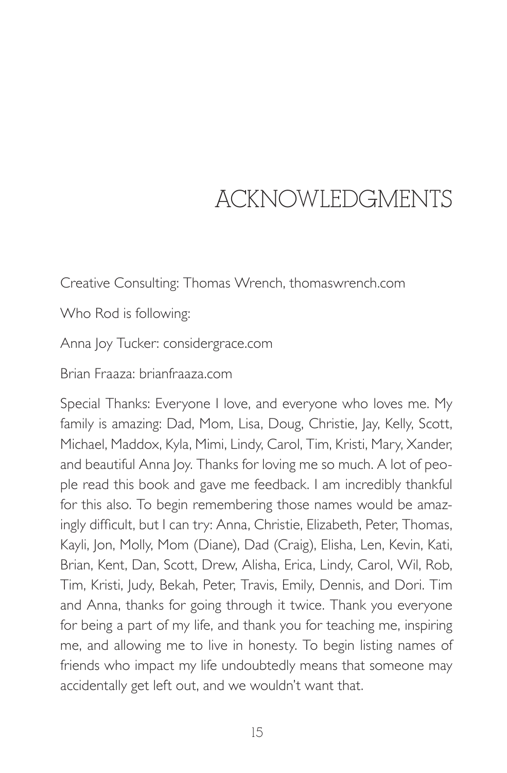#### ACKNOWLEDGMENTS

Creative Consulting: Thomas Wrench, thomaswrench.com

Who Rod is following:

Anna Joy Tucker: considergrace.com

Brian Fraaza: brianfraaza.com

Special Thanks: Everyone I love, and everyone who loves me. My family is amazing: Dad, Mom, Lisa, Doug, Christie, Jay, Kelly, Scott, Michael, Maddox, Kyla, Mimi, Lindy, Carol, Tim, Kristi, Mary, Xander, and beautiful Anna Joy. Thanks for loving me so much. A lot of people read this book and gave me feedback. I am incredibly thankful for this also. To begin remembering those names would be amazingly difficult, but I can try: Anna, Christie, Elizabeth, Peter, Thomas, Kayli, Jon, Molly, Mom (Diane), Dad (Craig), Elisha, Len, Kevin, Kati, Brian, Kent, Dan, Scott, Drew, Alisha, Erica, Lindy, Carol, Wil, Rob, Tim, Kristi, Judy, Bekah, Peter, Travis, Emily, Dennis, and Dori. Tim and Anna, thanks for going through it twice. Thank you everyone for being a part of my life, and thank you for teaching me, inspiring me, and allowing me to live in honesty. To begin listing names of friends who impact my life undoubtedly means that someone may accidentally get left out, and we wouldn't want that.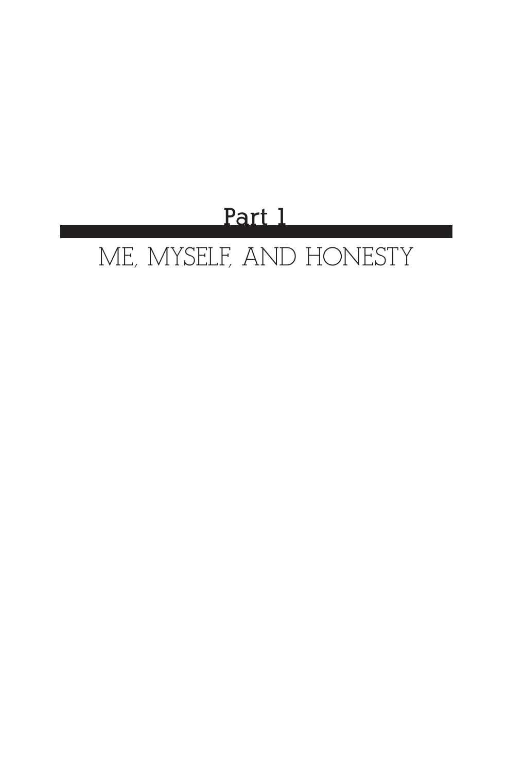### **Part 1**

# ME, MYSELF, AND HONESTY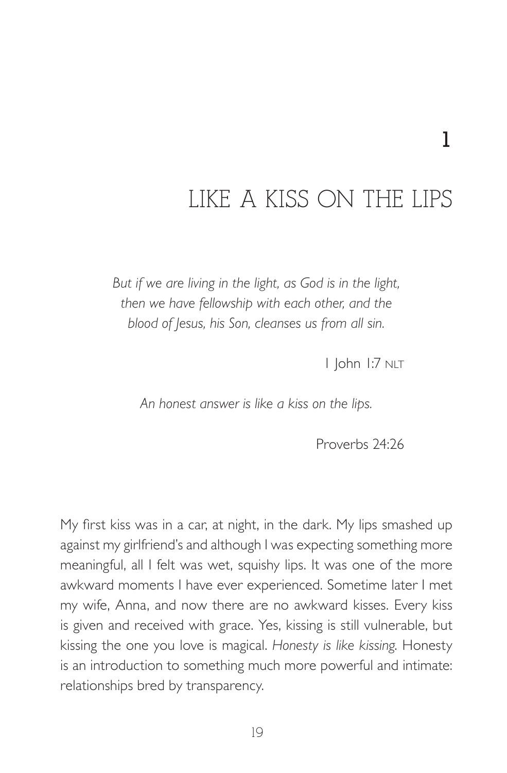#### LIKE A KISS ON THE LIPS

*But if we are living in the light, as God is in the light, then we have fellowship with each other, and the blood of Jesus, his Son, cleanses us from all sin.*

1 John 1:7 NLT

*An honest answer is like a kiss on the lips.*

Proverbs 24:26

My first kiss was in a car, at night, in the dark. My lips smashed up against my girlfriend's and although I was expecting something more meaningful, all I felt was wet, squishy lips. It was one of the more awkward moments I have ever experienced. Sometime later I met my wife, Anna, and now there are no awkward kisses. Every kiss is given and received with grace. Yes, kissing is still vulnerable, but kissing the one you love is magical. *Honesty is like kissing*. Honesty is an introduction to something much more powerful and intimate: relationships bred by transparency.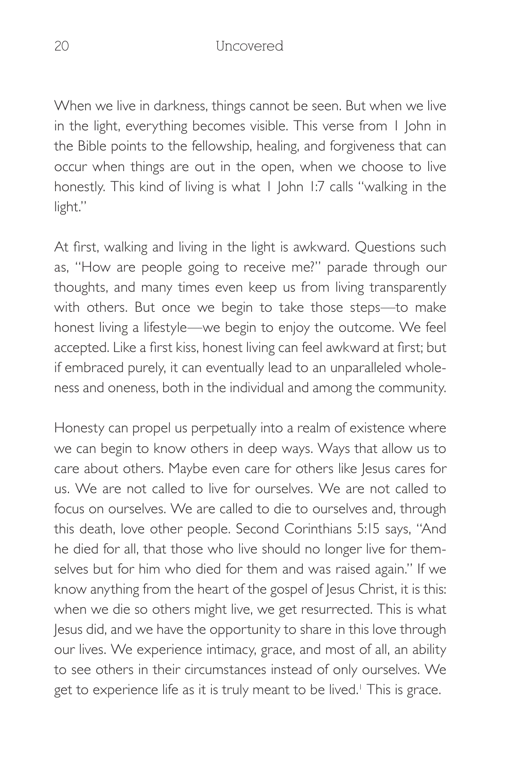20 Uncovered

When we live in darkness, things cannot be seen. But when we live in the light, everything becomes visible. This verse from 1 John in the Bible points to the fellowship, healing, and forgiveness that can occur when things are out in the open, when we choose to live honestly. This kind of living is what 1 John 1:7 calls "walking in the light."

At first, walking and living in the light is awkward. Questions such as, "How are people going to receive me?" parade through our thoughts, and many times even keep us from living transparently with others. But once we begin to take those steps—to make honest living a lifestyle—we begin to enjoy the outcome. We feel accepted. Like a first kiss, honest living can feel awkward at first; but if embraced purely, it can eventually lead to an unparalleled wholeness and oneness, both in the individual and among the community.

Honesty can propel us perpetually into a realm of existence where we can begin to know others in deep ways. Ways that allow us to care about others. Maybe even care for others like Jesus cares for us. We are not called to live for ourselves. We are not called to focus on ourselves. We are called to die to ourselves and, through this death, love other people. Second Corinthians 5:15 says, "And he died for all, that those who live should no longer live for themselves but for him who died for them and was raised again." If we know anything from the heart of the gospel of Jesus Christ, it is this: when we die so others might live, we get resurrected. This is what Jesus did, and we have the opportunity to share in this love through our lives. We experience intimacy, grace, and most of all, an ability to see others in their circumstances instead of only ourselves. We get to experience life as it is truly meant to be lived.' This is grace.